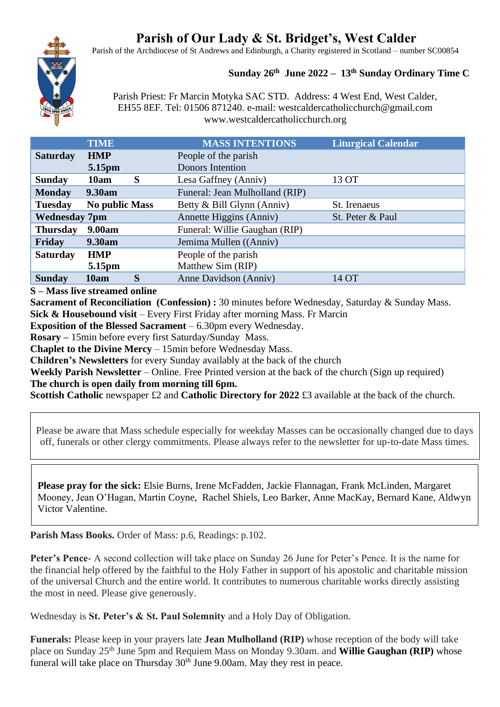# **Parish of Our Lady & St. Bridget's, West Calder**

Parish of the Archdiocese of St Andrews and Edinburgh, a Charity registered in Scotland – number SC00854

# **Sunday 26th June 2022 – 13th Sunday Ordinary Time C**

Parish Priest: Fr Marcin Motyka SAC STD. Address: 4 West End, West Calder, EH55 8EF. Tel: 01506 871240. e-mail: westcaldercatholicchurch@gmail.com www.westcaldercatholicchurch.org

|                      | <b>TIME</b>           | <b>MASS INTENTIONS</b>         | <b>Liturgical Calendar</b> |
|----------------------|-----------------------|--------------------------------|----------------------------|
| <b>Saturday</b>      | <b>HMP</b>            | People of the parish           |                            |
|                      | 5.15pm                | <b>Donors</b> Intention        |                            |
| <b>Sunday</b>        | S<br>10am             | Lesa Gaffney (Anniv)           | 13 OT                      |
| <b>Monday</b>        | <b>9.30am</b>         | Funeral: Jean Mulholland (RIP) |                            |
| <b>Tuesday</b>       | <b>No public Mass</b> | Betty & Bill Glynn (Anniv)     | St. Irenaeus               |
| <b>Wednesday 7pm</b> |                       | Annette Higgins (Anniv)        | St. Peter & Paul           |
| <b>Thursday</b>      | 9.00am                | Funeral: Willie Gaughan (RIP)  |                            |
| Friday               | 9.30am                | Jemima Mullen ((Anniv)         |                            |
| <b>Saturday</b>      | <b>HMP</b>            | People of the parish           |                            |
|                      | 5.15pm                | Matthew Sim (RIP)              |                            |
| <b>Sunday</b>        | S<br>10am             | Anne Davidson (Anniv)          | 14 OT                      |

**S – Mass live streamed online**

**Sacrament of Reconciliation (Confession) :** 30 minutes before Wednesday, Saturday & Sunday Mass. **Sick & Housebound visit** – Every First Friday after morning Mass. Fr Marcin

**Exposition of the Blessed Sacrament** – 6.30pm every Wednesday.

**Rosary –** 15min before every first Saturday/Sunday Mass.

**Chaplet to the Divine Mercy** – 15min before Wednesday Mass.

**Children's Newsletters** for every Sunday availably at the back of the church

**Weekly Parish Newsletter** – Online. Free Printed version at the back of the church (Sign up required) **The church is open daily from morning till 6pm.** 

**Scottish Catholic newspaper £2 and Catholic Directory for 2022 £3 available at the back of the church.** 

Please be aware that Mass schedule especially for weekday Masses can be occasionally changed due to days off, funerals or other clergy commitments. Please always refer to the newsletter for up-to-date Mass times.

**Please pray for the sick:** Elsie Burns, Irene McFadden, Jackie Flannagan, Frank McLinden, Margaret Mooney, Jean O'Hagan, Martin Coyne, Rachel Shiels, Leo Barker, Anne MacKay, Bernard Kane, Aldwyn Victor Valentine.

**Parish Mass Books.** Order of Mass: p.6, Readings: p.102.

**Peter's Pence**- A second collection will take place on Sunday 26 June for Peter's Pence. It is the name for the financial help offered by the faithful to the Holy Father in support of his apostolic and charitable mission of the universal Church and the entire world. It contributes to numerous charitable works directly assisting the most in need. Please give generously.

Wednesday is **St. Peter's & St. Paul Solemnity** and a Holy Day of Obligation.

**Funerals:** Please keep in your prayers late **Jean Mulholland (RIP)** whose reception of the body will take place on Sunday 25th June 5pm and Requiem Mass on Monday 9.30am. and **Willie Gaughan (RIP)** whose funeral will take place on Thursday  $30<sup>th</sup>$  June 9.00am. May they rest in peace.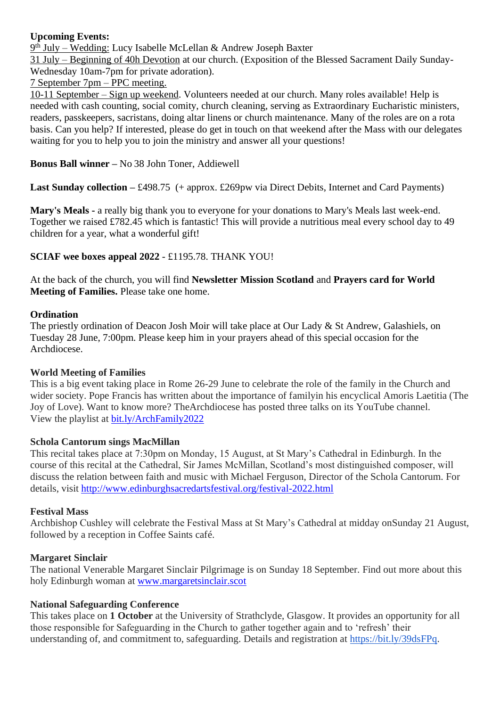# **Upcoming Events:**

9<sup>th</sup> July – Wedding: Lucy Isabelle McLellan & Andrew Joseph Baxter

31 July – Beginning of 40h Devotion at our church. (Exposition of the Blessed Sacrament Daily Sunday-Wednesday 10am-7pm for private adoration).

7 September 7pm – PPC meeting.

10-11 September – Sign up weekend. Volunteers needed at our church. Many roles available! Help is needed with cash counting, social comity, church cleaning, serving as Extraordinary Eucharistic ministers, readers, passkeepers, sacristans, doing altar linens or church maintenance. Many of the roles are on a rota basis. Can you help? If interested, please do get in touch on that weekend after the Mass with our delegates waiting for you to help you to join the ministry and answer all your questions!

**Bonus Ball winner –** No 38 John Toner, Addiewell

**Last Sunday collection –** £498.75 (+ approx. £269pw via Direct Debits, Internet and Card Payments)

**Mary's Meals -** a really big thank you to everyone for your donations to Mary's Meals last week-end. Together we raised £782.45 which is fantastic! This will provide a nutritious meal every school day to 49 children for a year, what a wonderful gift!

**SCIAF wee boxes appeal 2022** - £1195.78. THANK YOU!

At the back of the church, you will find **Newsletter Mission Scotland** and **Prayers card for World Meeting of Families.** Please take one home.

# **Ordination**

The priestly ordination of Deacon Josh Moir will take place at Our Lady & St Andrew, Galashiels, on Tuesday 28 June, 7:00pm. Please keep him in your prayers ahead of this special occasion for the Archdiocese.

#### **World Meeting of Families**

This is a big event taking place in Rome 26-29 June to celebrate the role of the family in the Church and wider society. Pope Francis has written about the importance of familyin his encyclical Amoris Laetitia (The Joy of Love). Want to know more? TheArchdiocese has posted three talks on its YouTube channel. View the playlist at [bit.ly/ArchFamily2022](https://www.youtube.com/playlist?list=PLQv_xMj23KQgSetlM_e3kCFxdy9Tya7B2)

#### **Schola Cantorum sings MacMillan**

This recital takes place at 7:30pm on Monday, 15 August, at St Mary's Cathedral in Edinburgh. In the course of this recital at the Cathedral, Sir James McMillan, Scotland's most distinguished composer, will discuss the relation between faith and music with Michael Ferguson, Director of the Schola Cantorum. For details, visit <http://www.edinburghsacredartsfestival.org/festival-2022.html>

#### **Festival Mass**

Archbishop Cushley will celebrate the Festival Mass at St Mary's Cathedral at midday onSunday 21 August, followed by a reception in Coffee Saints café.

#### **Margaret Sinclair**

The national Venerable Margaret Sinclair Pilgrimage is on Sunday 18 September. Find out more about this holy Edinburgh woman at [www.margaretsinclair.scot](http://www.margaretsinclair.scot/)

# **National Safeguarding Conference**

This takes place on **1 October** at the University of Strathclyde, Glasgow. It provides an opportunity for all those responsible for Safeguarding in the Church to gather together again and to 'refresh' their understanding of, and commitment to, safeguarding. Details and registration at [https://bit.ly/39dsFPq.](https://bit.ly/39dsFPq)